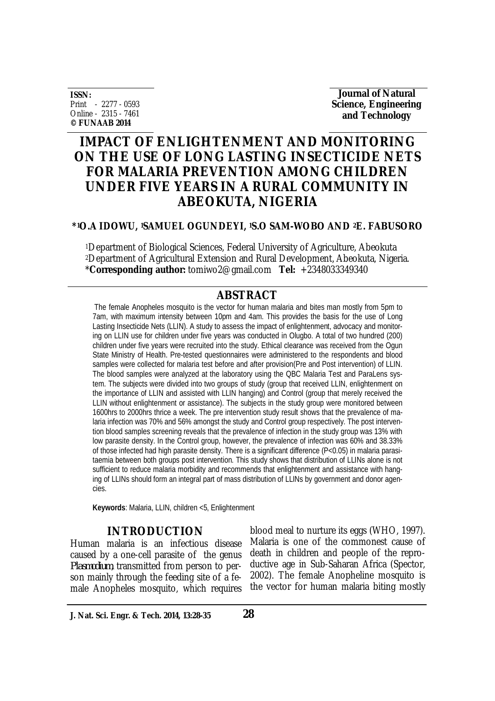**ISSN:** Print - 2277 - 0593 Online - 2315 - 7461 **© FUNAAB 2014**

**Journal of Natural Science, Engineering and Technology** 

# **IMPACT OF ENLIGHTENMENT AND MONITORING ON THE USE OF LONG LASTING INSECTICIDE NETS FOR MALARIA PREVENTION AMONG CHILDREN UNDER FIVE YEARS IN A RURAL COMMUNITY IN ABEOKUTA, NIGERIA**

### **\*1O.A IDOWU, 1SAMUEL OGUNDEYI, 1S.O SAM-WOBO AND 2E. FABUSORO**

<sup>1</sup>Department of Biological Sciences, Federal University of Agriculture, Abeokuta <sup>2</sup>Department of Agricultural Extension and Rural Development, Abeokuta, Nigeria. \***Corresponding author:** tomiwo2@gmail.com **Tel:** +2348033349340

# **ABSTRACT**

The female Anopheles mosquito is the vector for human malaria and bites man mostly from 5pm to 7am, with maximum intensity between 10pm and 4am. This provides the basis for the use of Long Lasting Insecticide Nets (LLIN). A study to assess the impact of enlightenment, advocacy and monitoring on LLIN use for children under five years was conducted in Olugbo. A total of two hundred (200) children under five years were recruited into the study. Ethical clearance was received from the Ogun State Ministry of Health. Pre-tested questionnaires were administered to the respondents and blood samples were collected for malaria test before and after provision(Pre and Post intervention) of LLIN. The blood samples were analyzed at the laboratory using the QBC Malaria Test and ParaLens system. The subjects were divided into two groups of study (group that received LLIN, enlightenment on the importance of LLIN and assisted with LLIN hanging) and Control (group that merely received the LLIN without enlightenment or assistance). The subjects in the study group were monitored between 1600hrs to 2000hrs thrice a week. The pre intervention study result shows that the prevalence of malaria infection was 70% and 56% amongst the study and Control group respectively. The post intervention blood samples screening reveals that the prevalence of infection in the study group was 13% with low parasite density. In the Control group, however, the prevalence of infection was 60% and 38.33% of those infected had high parasite density. There is a significant difference (P<0.05) in malaria parasitaemia between both groups post intervention. This study shows that distribution of LLINs alone is not sufficient to reduce malaria morbidity and recommends that enlightenment and assistance with hanging of LLINs should form an integral part of mass distribution of LLINs by government and donor agencies.

**Keywords**: Malaria, LLIN, children <5, Enlightenment

# **INTRODUCTION**

Human malaria is an infectious disease caused by a one-cell parasite of the genus *Plasmodium*, transmitted from person to person mainly through the feeding site of a female Anopheles mosquito, which requires blood meal to nurture its eggs (WHO, 1997). Malaria is one of the commonest cause of death in children and people of the reproductive age in Sub-Saharan Africa (Spector, 2002). The female Anopheline mosquito is the vector for human malaria biting mostly

**J. Nat. Sci. Engr. & Tech. 2014, 13:28-35 28**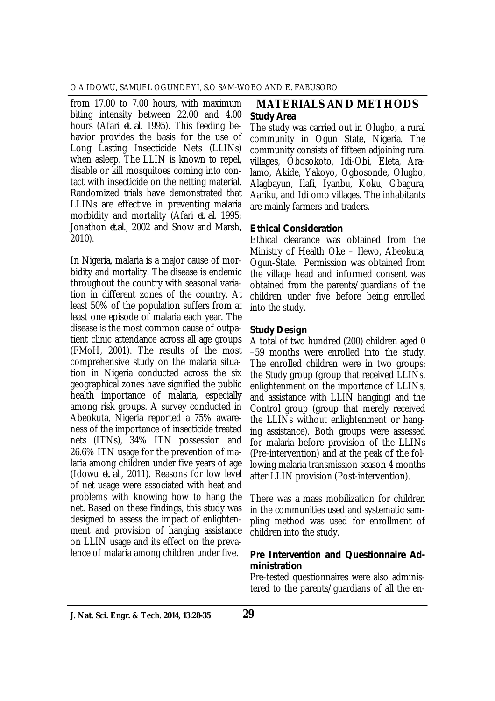from 17.00 to 7.00 hours, with maximum biting intensity between 22.00 and 4.00 hours (Afari *et. al*. 1995). This feeding behavior provides the basis for the use of Long Lasting Insecticide Nets (LLINs) when asleep. The LLIN is known to repel, disable or kill mosquitoes coming into contact with insecticide on the netting material. Randomized trials have demonstrated that LLINs are effective in preventing malaria morbidity and mortality (Afari *et. al*. 1995; Jonathon *et.al*., 2002 and Snow and Marsh, 2010).

In Nigeria, malaria is a major cause of morbidity and mortality. The disease is endemic throughout the country with seasonal variation in different zones of the country. At least 50% of the population suffers from at least one episode of malaria each year. The disease is the most common cause of outpatient clinic attendance across all age groups (FMoH, 2001). The results of the most comprehensive study on the malaria situation in Nigeria conducted across the six geographical zones have signified the public health importance of malaria, especially among risk groups. A survey conducted in Abeokuta, Nigeria reported a 75% awareness of the importance of insecticide treated nets (ITNs), 34% ITN possession and 26.6% ITN usage for the prevention of malaria among children under five years of age (Idowu *et. al*., 2011). Reasons for low level of net usage were associated with heat and problems with knowing how to hang the net. Based on these findings, this study was designed to assess the impact of enlightenment and provision of hanging assistance on LLIN usage and its effect on the prevalence of malaria among children under five.

# **MATERIALS AND METHODS** *Study Area*

The study was carried out in Olugbo, a rural community in Ogun State, Nigeria. The community consists of fifteen adjoining rural villages, Obosokoto, Idi-Obi, Eleta, Aralamo, Akide, Yakoyo, Ogbosonde, Olugbo, Alagbayun, Ilafi, Iyanbu, Koku, Gbagura, Aariku, and Idi omo villages. The inhabitants are mainly farmers and traders.

# *Ethical Consideration*

Ethical clearance was obtained from the Ministry of Health Oke – Ilewo, Abeokuta, Ogun-State. Permission was obtained from the village head and informed consent was obtained from the parents/guardians of the children under five before being enrolled into the study.

# *Study Design*

A total of two hundred (200) children aged 0 –59 months were enrolled into the study. The enrolled children were in two groups: the Study group (group that received LLINs, enlightenment on the importance of LLINs, and assistance with LLIN hanging) and the Control group (group that merely received the LLINs without enlightenment or hanging assistance). Both groups were assessed for malaria before provision of the LLINs (Pre-intervention) and at the peak of the following malaria transmission season 4 months after LLIN provision (Post-intervention).

There was a mass mobilization for children in the communities used and systematic sampling method was used for enrollment of children into the study.

#### *Pre Intervention and Questionnaire Administration*

Pre-tested questionnaires were also administered to the parents/guardians of all the en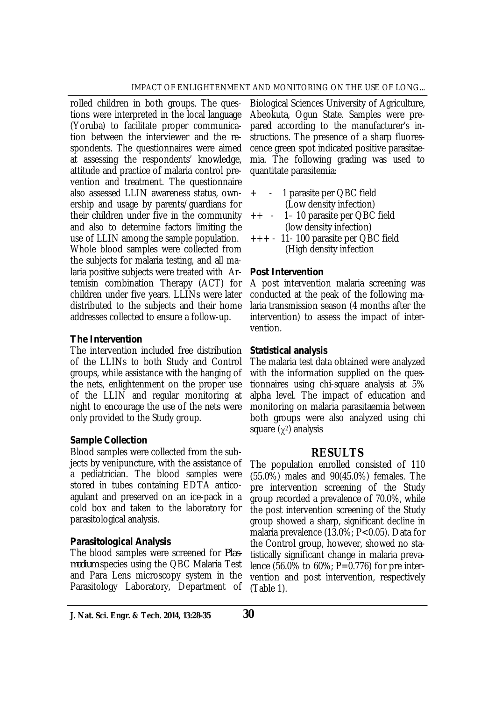rolled children in both groups. The questions were interpreted in the local language (Yoruba) to facilitate proper communication between the interviewer and the respondents. The questionnaires were aimed at assessing the respondents' knowledge, attitude and practice of malaria control prevention and treatment. The questionnaire also assessed LLIN awareness status, ownership and usage by parents/guardians for their children under five in the community and also to determine factors limiting the use of LLIN among the sample population. Whole blood samples were collected from the subjects for malaria testing, and all malaria positive subjects were treated with Artemisin combination Therapy (ACT) for children under five years. LLINs were later distributed to the subjects and their home addresses collected to ensure a follow-up.

#### *The Intervention*

The intervention included free distribution of the LLINs to both Study and Control groups, while assistance with the hanging of the nets, enlightenment on the proper use of the LLIN and regular monitoring at night to encourage the use of the nets were only provided to the Study group.

### *Sample Collection*

Blood samples were collected from the subjects by venipuncture, with the assistance of a pediatrician. The blood samples were stored in tubes containing EDTA anticoagulant and preserved on an ice-pack in a cold box and taken to the laboratory for parasitological analysis.

### *Parasitological Analysis*

The blood samples were screened for *Plasmodium* species using the QBC Malaria Test and Para Lens microscopy system in the Parasitology Laboratory, Department of

Biological Sciences University of Agriculture, Abeokuta, Ogun State. Samples were prepared according to the manufacturer's instructions. The presence of a sharp fluorescence green spot indicated positive parasitaemia. The following grading was used to quantitate parasitemia:

- + 1 parasite per QBC field (Low density infection)
- ++ 1– 10 parasite per QBC field (low density infection)
- +++ 11- 100 parasite per QBC field (High density infection

# *Post Intervention*

A post intervention malaria screening was conducted at the peak of the following malaria transmission season (4 months after the intervention) to assess the impact of intervention.

#### *Statistical analysis*

The malaria test data obtained were analyzed with the information supplied on the questionnaires using chi-square analysis at 5% alpha level. The impact of education and monitoring on malaria parasitaemia between both groups were also analyzed using chi square  $(\gamma^2)$  analysis

# **RESULTS**

The population enrolled consisted of 110 (55.0%) males and 90(45.0%) females. The pre intervention screening of the Study group recorded a prevalence of 70.0%, while the post intervention screening of the Study group showed a sharp, significant decline in malaria prevalence (13.0%; P<0.05). Data for the Control group, however, showed no statistically significant change in malaria prevalence (56.0% to 60%; P=0.776) for pre intervention and post intervention, respectively (Table 1).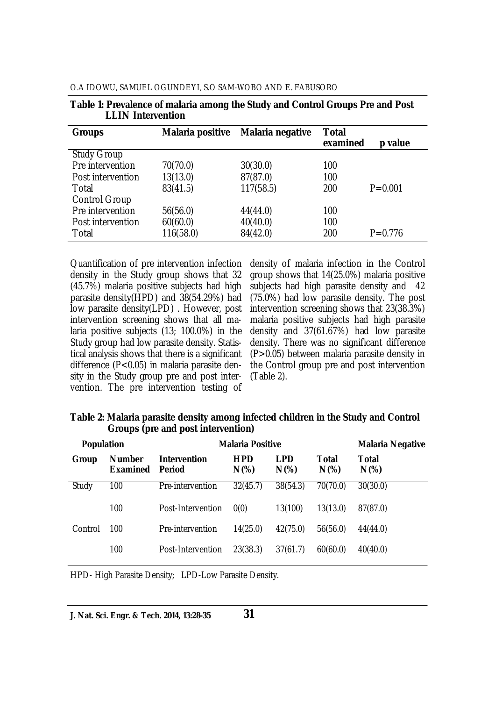| <b>Groups</b>        | <b>Malaria positive</b> | <b>Malaria negative</b> | Total<br>examined | p value     |
|----------------------|-------------------------|-------------------------|-------------------|-------------|
| <b>Study Group</b>   |                         |                         |                   |             |
| Pre intervention     | 70(70.0)                | 30(30.0)                | 100               |             |
| Post intervention    | 13(13.0)                | 87(87.0)                | 100               |             |
| Total                | 83(41.5)                | 117(58.5)               | 200               | $P = 0.001$ |
| <b>Control Group</b> |                         |                         |                   |             |
| Pre intervention     | 56(56.0)                | 44(44.0)                | 100               |             |
| Post intervention    | 60(60.0)                | 40(40.0)                | 100               |             |
| Total                | 116(58.0)               | 84(42.0)                | 200               | $P = 0.776$ |

O.A IDOWU, SAMUEL OGUNDEYI, S.O SAM-WOBO AND E. FABUSORO

**Table 1: Prevalence of malaria among the Study and Control Groups Pre and Post LLIN Intervention**

Quantification of pre intervention infection density in the Study group shows that 32 (45.7%) malaria positive subjects had high parasite density(HPD) and 38(54.29%) had low parasite density(LPD) . However, post intervention screening shows that all malaria positive subjects (13; 100.0%) in the Study group had low parasite density. Statistical analysis shows that there is a significant difference (P<0.05) in malaria parasite density in the Study group pre and post intervention. The pre intervention testing of

density of malaria infection in the Control group shows that 14(25.0%) malaria positive subjects had high parasite density and 42 (75.0%) had low parasite density. The post intervention screening shows that 23(38.3%) malaria positive subjects had high parasite density and 37(61.67%) had low parasite density. There was no significant difference (P>0.05) between malaria parasite density in the Control group pre and post intervention (Table 2).

**Table 2: Malaria parasite density among infected children in the Study and Control Groups (pre and post intervention)**

| <b>Population</b> |                                  | <b>Malaria Positive</b>       |                       |                |                  | <b>Malaria Negative</b> |
|-------------------|----------------------------------|-------------------------------|-----------------------|----------------|------------------|-------------------------|
| Group             | <b>Number</b><br><b>Examined</b> | <b>Intervention</b><br>Period | <b>HPD</b><br>$N(\%)$ | LPD<br>$N(\%)$ | Total<br>$N(\%)$ | Total<br>$N(\%)$        |
| Study             | 100                              | Pre-intervention              | 32(45.7)              | 38(54.3)       | 70(70.0)         | 30(30.0)                |
|                   | 100                              | Post-Intervention             | 0(0)                  | 13(100)        | 13(13.0)         | 87(87.0)                |
| Control           | 100                              | Pre-intervention              | 14(25.0)              | 42(75.0)       | 56(56.0)         | 44(44.0)                |
|                   | 100                              | Post-Intervention             | 23(38.3)              | 37(61.7)       | 60(60.0)         | 40(40.0)                |

HPD- High Parasite Density; LPD-Low Parasite Density.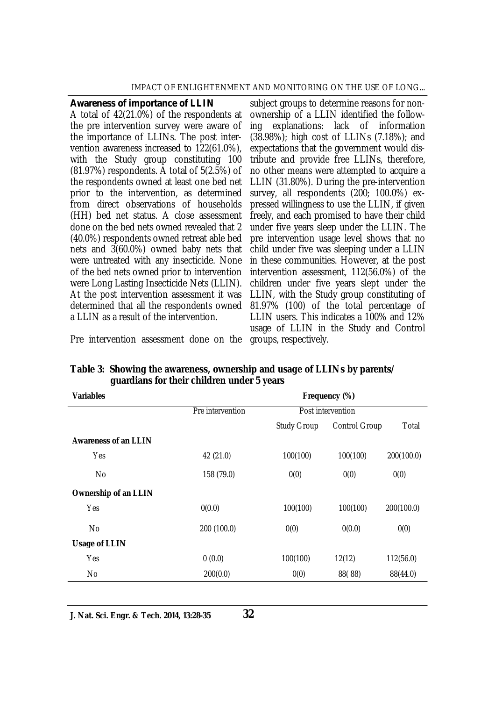#### IMPACT OF ENLIGHTENMENT AND MONITORING ON THE USE OF LONG...

#### *Awareness of importance of LLIN*

A total of 42(21.0%) of the respondents at the pre intervention survey were aware of the importance of LLINs. The post intervention awareness increased to 122(61.0%), with the Study group constituting 100 (81.97%) respondents. A total of 5(2.5%) of the respondents owned at least one bed net prior to the intervention, as determined from direct observations of households (HH) bed net status. A close assessment done on the bed nets owned revealed that 2 (40.0%) respondents owned retreat able bed nets and 3(60.0%) owned baby nets that were untreated with any insecticide. None of the bed nets owned prior to intervention were Long Lasting Insecticide Nets (LLIN). At the post intervention assessment it was determined that all the respondents owned a LLIN as a result of the intervention.

subject groups to determine reasons for nonownership of a LLIN identified the following explanations: lack of information (38.98%); high cost of LLINs (7.18%); and expectations that the government would distribute and provide free LLINs, therefore, no other means were attempted to acquire a LLIN (31.80%). During the pre-intervention survey, all respondents (200; 100.0%) expressed willingness to use the LLIN, if given freely, and each promised to have their child under five years sleep under the LLIN. The pre intervention usage level shows that no child under five was sleeping under a LLIN in these communities. However, at the post intervention assessment, 112(56.0%) of the children under five years slept under the LLIN, with the Study group constituting of 81.97% (100) of the total percentage of LLIN users. This indicates a 100% and 12% usage of LLIN in the Study and Control

Pre intervention assessment done on the groups, respectively.

| <b>Variables</b>            | Frequency (%)    |                    |                      |            |  |
|-----------------------------|------------------|--------------------|----------------------|------------|--|
|                             | Pre intervention | Post intervention  |                      |            |  |
|                             |                  | <b>Study Group</b> | <b>Control Group</b> | Total      |  |
| <b>Awareness of an LLIN</b> |                  |                    |                      |            |  |
| <b>Yes</b>                  | 42 (21.0)        | 100(100)           | 100(100)             | 200(100.0) |  |
| No                          | 158 (79.0)       | 0(0)               | 0(0)                 | 0(0)       |  |
| Ownership of an LLIN        |                  |                    |                      |            |  |
| <b>Yes</b>                  | 0(0.0)           | 100(100)           | 100(100)             | 200(100.0) |  |
| No                          | 200 (100.0)      | 0(0)               | 0(0.0)               | 0(0)       |  |
| <b>Usage of LLIN</b>        |                  |                    |                      |            |  |
| Yes                         | 0(0.0)           | 100(100)           | 12(12)               | 112(56.0)  |  |
| No                          | 200(0.0)         | 0(0)               | 88(88)               | 88(44.0)   |  |

**Table 3: Showing the awareness, ownership and usage of LLINs by parents/ guardians for their children under 5 years**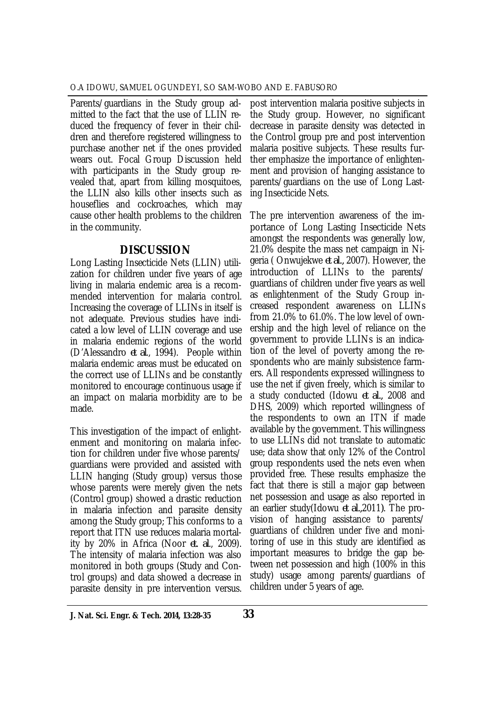Parents/guardians in the Study group admitted to the fact that the use of LLIN reduced the frequency of fever in their children and therefore registered willingness to purchase another net if the ones provided wears out. Focal Group Discussion held with participants in the Study group revealed that, apart from killing mosquitoes, the LLIN also kills other insects such as houseflies and cockroaches, which may cause other health problems to the children in the community.

# **DISCUSSION**

Long Lasting Insecticide Nets (LLIN) utilization for children under five years of age living in malaria endemic area is a recommended intervention for malaria control. Increasing the coverage of LLINs in itself is not adequate. Previous studies have indicated a low level of LLIN coverage and use in malaria endemic regions of the world (D'Alessandro *et al*., 1994). People within malaria endemic areas must be educated on the correct use of LLINs and be constantly monitored to encourage continuous usage if an impact on malaria morbidity are to be made.

This investigation of the impact of enlightenment and monitoring on malaria infection for children under five whose parents/ guardians were provided and assisted with LLIN hanging (Study group) versus those whose parents were merely given the nets (Control group) showed a drastic reduction in malaria infection and parasite density among the Study group; This conforms to a report that ITN use reduces malaria mortality by 20% in Africa (Noor *et. al*., 2009). The intensity of malaria infection was also monitored in both groups (Study and Control groups) and data showed a decrease in parasite density in pre intervention versus.

post intervention malaria positive subjects in the Study group. However, no significant decrease in parasite density was detected in the Control group pre and post intervention malaria positive subjects. These results further emphasize the importance of enlightenment and provision of hanging assistance to parents/guardians on the use of Long Lasting Insecticide Nets.

The pre intervention awareness of the importance of Long Lasting Insecticide Nets amongst the respondents was generally low, 21.0% despite the mass net campaign in Nigeria ( Onwujekwe *et al.,* 2007). However, the introduction of LLINs to the parents/ guardians of children under five years as well as enlightenment of the Study Group increased respondent awareness on LLINs from 21.0% to 61.0%. The low level of ownership and the high level of reliance on the government to provide LLINs is an indication of the level of poverty among the respondents who are mainly subsistence farmers. All respondents expressed willingness to use the net if given freely, which is similar to a study conducted (Idowu *et al.,* 2008 and DHS, 2009) which reported willingness of the respondents to own an ITN if made available by the government. This willingness to use LLINs did not translate to automatic use; data show that only 12% of the Control group respondents used the nets even when provided free. These results emphasize the fact that there is still a major gap between net possession and usage as also reported in an earlier study(Idowu *et al.,*2011*)*. The provision of hanging assistance to parents/ guardians of children under five and monitoring of use in this study are identified as important measures to bridge the gap between net possession and high (100% in this study) usage among parents/guardians of children under 5 years of age.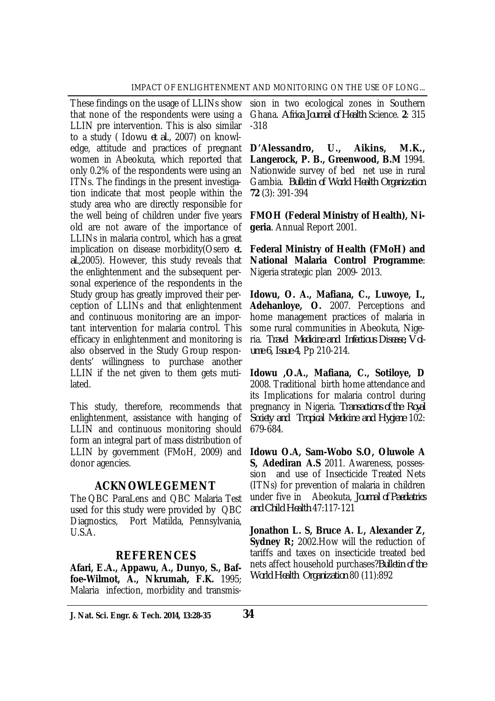These findings on the usage of LLINs show that none of the respondents were using a LLIN pre intervention. This is also similar to a study ( Idowu *et al.,* 2007) on knowledge, attitude and practices of pregnant women in Abeokuta, which reported that only 0.2% of the respondents were using an ITNs. The findings in the present investigation indicate that most people within the study area who are directly responsible for the well being of children under five years old are not aware of the importance of LLINs in malaria control, which has a great implication on disease morbidity(Osero *et. al.,*2005). However, this study reveals that the enlightenment and the subsequent personal experience of the respondents in the Study group has greatly improved their perception of LLINs and that enlightenment and continuous monitoring are an important intervention for malaria control. This efficacy in enlightenment and monitoring is also observed in the Study Group respondents' willingness to purchase another LLIN if the net given to them gets mutilated.

This study, therefore, recommends that enlightenment, assistance with hanging of LLIN and continuous monitoring should form an integral part of mass distribution of LLIN by government (FMoH, 2009) and donor agencies.

### **ACKNOWLEGEMENT**

The QBC ParaLens and QBC Malaria Test used for this study were provided by QBC Diagnostics, Port Matilda, Pennsylvania, U.S.A.

### **REFERENCES**

**Afari, E.A., Appawu, A., Dunyo, S., Baffoe-Wilmot, A., Nkrumah, F.K.** 1995; Malaria infection, morbidity and transmis-

sion in two ecological zones in Southern Ghana. *Africa Journal of Health* Science. **2**: 315 -318

**D'Alessandro, U., Aikins, M.K., Langerock, P. B., Greenwood, B.M** 1994. Nationwide survey of bed net use in rural Gambia. *Bulletin of World Health Organization* **72** (3): 391-394

**FMOH (Federal Ministry of Health), Nigeria**. Annual Report 2001.

**Federal Ministry of Health (FMoH) and National Malaria Control Programme**: Nigeria strategic plan 2009- 2013.

**Idowu, O. A., Mafiana, C., Luwoye, I., Adehanloye, O.** 2007. Perceptions and home management practices of malaria in some rural communities in Abeokuta, Nigeria. *Travel Medicine and Infectious Disease, Volume 6, Issue 4*, Pp 210-214.

**Idowu ,O.A., Mafiana, C., Sotiloye, D**  2008. Traditional birth home attendance and its Implications for malaria control during pregnancy in Nigeria. *Transactions of the Royal Society and Tropical Medicine and Hygiene* 102: 679-684.

**Idowu O.A, Sam-Wobo S.O, Oluwole A S, Adediran A.S** 2011. Awareness, possession and use of Insecticide Treated Nets (ITNs) for prevention of malaria in children under five in Abeokuta, *Journal of Paediatrics and Child Health* 47:117-121

**Jonathon L. S, Bruce A. L, Alexander Z, Sydney R**; 2002. How will the reduction of tariffs and taxes on insecticide treated bed nets affect household purchases?*Bulletin of the World Health Organization* 80 (11):892